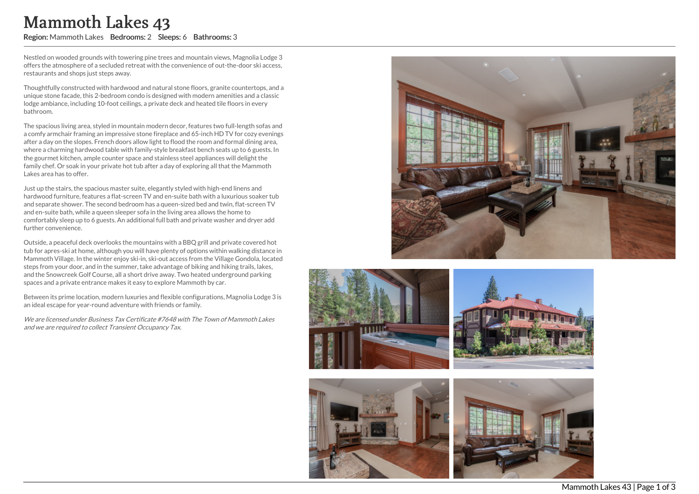## Mammoth Lakes 43

## Region: Mammoth Lakes Bedrooms: 2 Sleeps: 6 Bathrooms: 3

Nestled on wooded grounds with towering pine trees and mountain views, Magnolia Lodge 3 offers the atmosphere of a secluded retreat with the convenience of out-the-door ski access, restaurants and shops just steps away.

Thoughtfully constructed with hardwood and natural stone floors, granite countertops, and a unique stone facade, this 2-bedroom condo is designed with modern amenities and a classic lodge ambiance, including 10-foot ceilings, a private deck and heated tile floors in every bathroom.

The spacious living area, styled in mountain modern decor, features two full-length sofas and a comfy armchair framing an impressive stone fireplace and 65-inch HD TV for cozy evenings after a day on the slopes. French doors allow light to flood the room and formal dining area, where a charming hardwood table with family-style breakfast bench seats up to 6 guests. In the gourmet kitchen, ample counter space and stainless steel appliances will delight the family chef. Or soak in your private hot tub after a day of exploring all that the Mammoth Lakes area has to offer.

Just up the stairs, the spacious master suite, elegantly styled with high-end linens and hardwood furniture, features a flat-screen TV and en-suite bath with a luxurious soaker tub and separate shower. The second bedroom has a queen-sized bed and twin, flat-screen TV and en-suite bath, while a queen sleeper sofa in the living area allows the home to comfortably sleep up to 6 guests. An additional full bath and private washer and dryer add further convenience.

Outside, a peaceful deck overlooks the mountains with a BBQ grill and private covered hot tub for apres-ski at home, although you will have plenty of options within walking distance in Mammoth Village. In the winter enjoy ski-in, ski-out access from the Village Gondola, located steps from your door, and in the summer, take advantage of biking and hiking trails, lakes, and the Snowcreek Golf Course, all a short drive away. Two heated underground parking spaces and a private entrance makes it easy to explore Mammoth by car.

Between its prime location, modern luxuries and flexible configurations, Magnolia Lodge 3 is an ideal escape for year-round adventure with friends or family.

We are licensed under Business Tax Certificate #7648 with The Town of Mammoth Lakes and we are required to collect Transient Occupancy Tax.





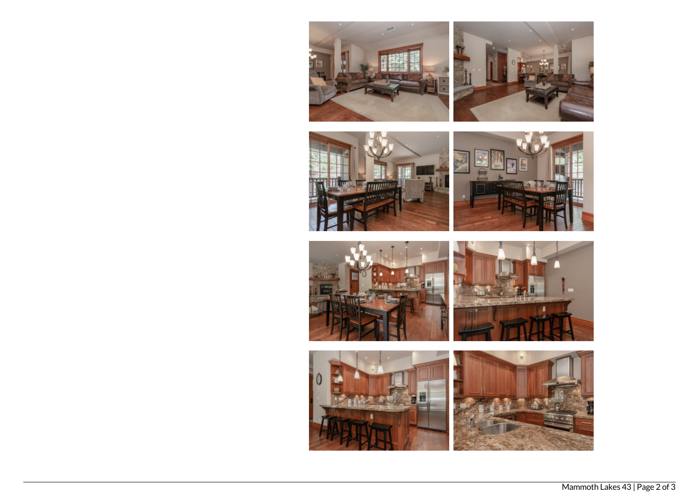